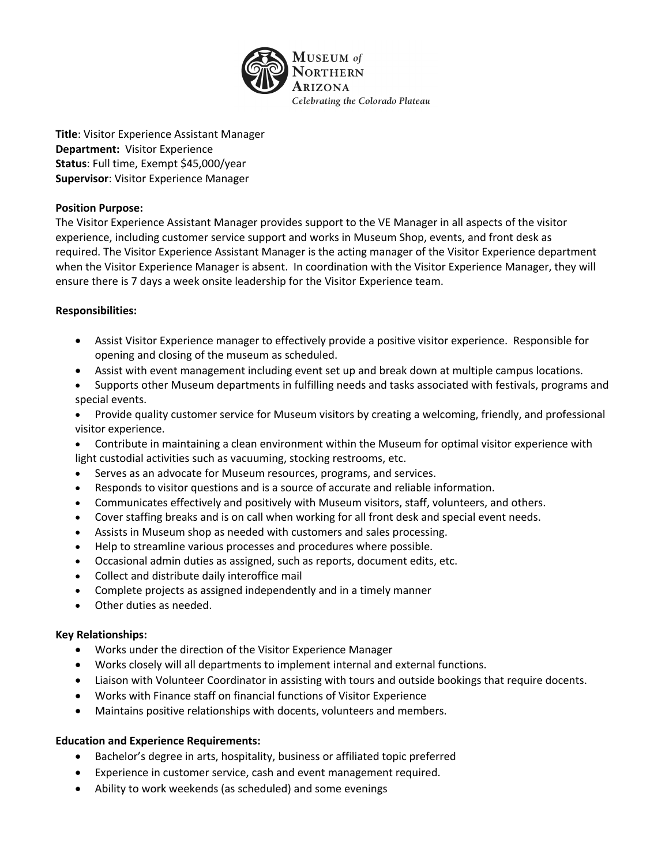

**Title**: Visitor Experience Assistant Manager **Department:** Visitor Experience **Status**: Full time, Exempt \$45,000/year **Supervisor**: Visitor Experience Manager

## **Position Purpose:**

The Visitor Experience Assistant Manager provides support to the VE Manager in all aspects of the visitor experience, including customer service support and works in Museum Shop, events, and front desk as required. The Visitor Experience Assistant Manager is the acting manager of the Visitor Experience department when the Visitor Experience Manager is absent. In coordination with the Visitor Experience Manager, they will ensure there is 7 days a week onsite leadership for the Visitor Experience team.

## **Responsibilities:**

- Assist Visitor Experience manager to effectively provide a positive visitor experience. Responsible for opening and closing of the museum as scheduled.
- Assist with event management including event set up and break down at multiple campus locations.
- Supports other Museum departments in fulfilling needs and tasks associated with festivals, programs and special events.
- Provide quality customer service for Museum visitors by creating a welcoming, friendly, and professional visitor experience.
- Contribute in maintaining a clean environment within the Museum for optimal visitor experience with light custodial activities such as vacuuming, stocking restrooms, etc.
- Serves as an advocate for Museum resources, programs, and services.
- Responds to visitor questions and is a source of accurate and reliable information.
- Communicates effectively and positively with Museum visitors, staff, volunteers, and others.
- Cover staffing breaks and is on call when working for all front desk and special event needs.
- Assists in Museum shop as needed with customers and sales processing.
- Help to streamline various processes and procedures where possible.
- Occasional admin duties as assigned, such as reports, document edits, etc.
- Collect and distribute daily interoffice mail
- Complete projects as assigned independently and in a timely manner
- Other duties as needed.

## **Key Relationships:**

- Works under the direction of the Visitor Experience Manager
- Works closely will all departments to implement internal and external functions.
- Liaison with Volunteer Coordinator in assisting with tours and outside bookings that require docents.
- Works with Finance staff on financial functions of Visitor Experience
- Maintains positive relationships with docents, volunteers and members.

## **Education and Experience Requirements:**

- Bachelor's degree in arts, hospitality, business or affiliated topic preferred
- Experience in customer service, cash and event management required.
- Ability to work weekends (as scheduled) and some evenings